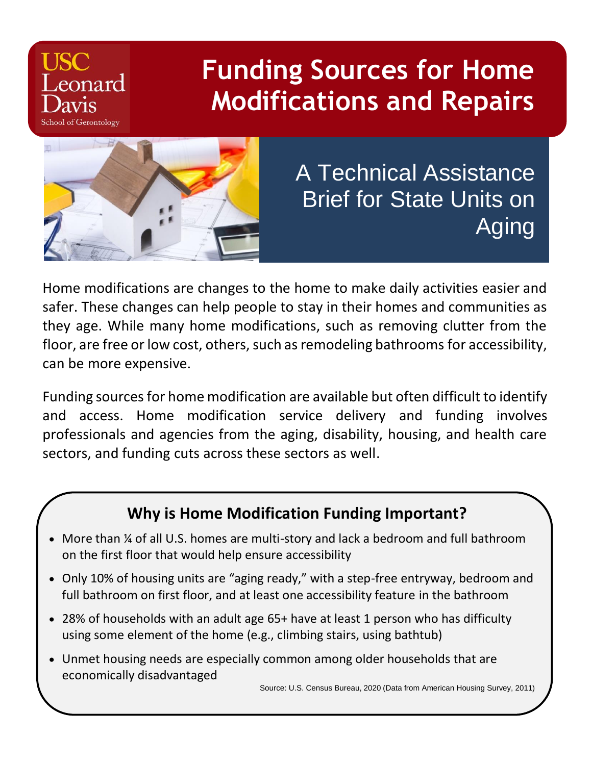# **Funding Sources for Home Modifications and Repairs**



eonard

**School of Gerontology** 

A Technical Assistance Brief for State Units on Aging

Home modifications are changes to the home to make daily activities easier and safer. These changes can help people to stay in their homes and communities as they age. While many home modifications, such as removing clutter from the floor, are free or low cost, others, such as remodeling bathrooms for accessibility, can be more expensive.

Funding sources for home modification are available but often difficult to identify and access. Home modification service delivery and funding involves professionals and agencies from the aging, disability, housing, and health care sectors, and funding cuts across these sectors as well.

### **Why is Home Modification Funding Important?**

- More than ¼ of all U.S. homes are multi-story and lack a bedroom and full bathroom on the first floor that would help ensure accessibility
- Only 10% of housing units are "aging ready," with a step-free entryway, bedroom and full bathroom on first floor, and at least one accessibility feature in the bathroom
- 28% of households with an adult age 65+ have at least 1 person who has difficulty using some element of the home (e.g., climbing stairs, using bathtub)
- Unmet housing needs are especially common among older households that are economically disadvantaged

Source: U.S. Census Bureau, 2020 (Data from American Housing Survey, 2011)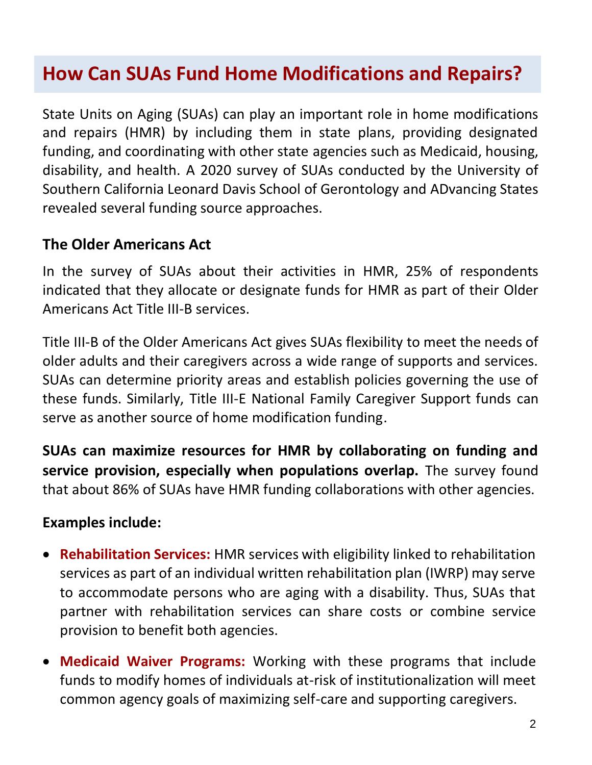# **How Can SUAs Fund Home Modifications and Repairs?**

State Units on Aging (SUAs) can play an important role in home modifications and repairs (HMR) by including them in state plans, providing designated funding, and coordinating with other state agencies such as Medicaid, housing, disability, and health. A 2020 survey of SUAs conducted by the University of Southern California Leonard Davis School of Gerontology and ADvancing States revealed several funding source approaches.

#### **The Older Americans Act**

In the survey of SUAs about their activities in HMR, 25% of respondents indicated that they allocate or designate funds for HMR as part of their Older Americans Act Title III-B services.

Title III-B of the Older Americans Act gives SUAs flexibility to meet the needs of older adults and their caregivers across a wide range of supports and services. SUAs can determine priority areas and establish policies governing the use of these funds. Similarly, Title III-E National Family Caregiver Support funds can serve as another source of home modification funding.

**SUAs can maximize resources for HMR by collaborating on funding and service provision, especially when populations overlap.** The survey found that about 86% of SUAs have HMR funding collaborations with other agencies.

#### **Examples include:**

- **Rehabilitation Services:** HMR services with eligibility linked to rehabilitation services as part of an individual written rehabilitation plan (IWRP) may serve to accommodate persons who are aging with a disability. Thus, SUAs that partner with rehabilitation services can share costs or combine service provision to benefit both agencies.
- **Medicaid Waiver Programs:** Working with these programs that include funds to modify homes of individuals at-risk of institutionalization will meet common agency goals of maximizing self-care and supporting caregivers.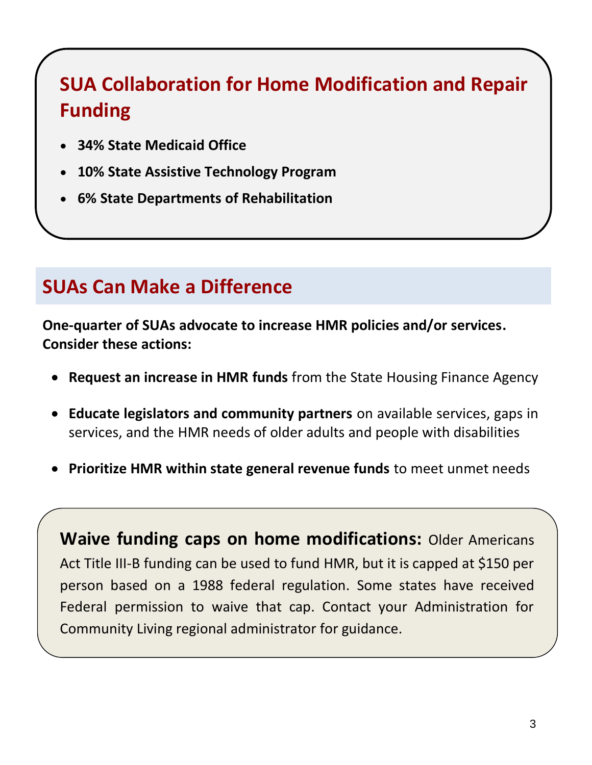# **SUA Collaboration for Home Modification and Repair Funding**

- **34% State Medicaid Office**
- **10% State Assistive Technology Program**
- **6% State Departments of Rehabilitation**

# **SUAs Can Make a Difference**

**One-quarter of SUAs advocate to increase HMR policies and/or services. Consider these actions:**

- **Request an increase in HMR funds** from the State Housing Finance Agency
- **Educate legislators and community partners** on available services, gaps in services, and the HMR needs of older adults and people with disabilities
- **Prioritize HMR within state general revenue funds** to meet unmet needs

**Waive funding caps on home modifications:** Older Americans Act Title III-B funding can be used to fund HMR, but it is capped at \$150 per person based on a 1988 federal regulation. Some states have received Federal permission to waive that cap. Contact your Administration for Community Living regional administrator for guidance.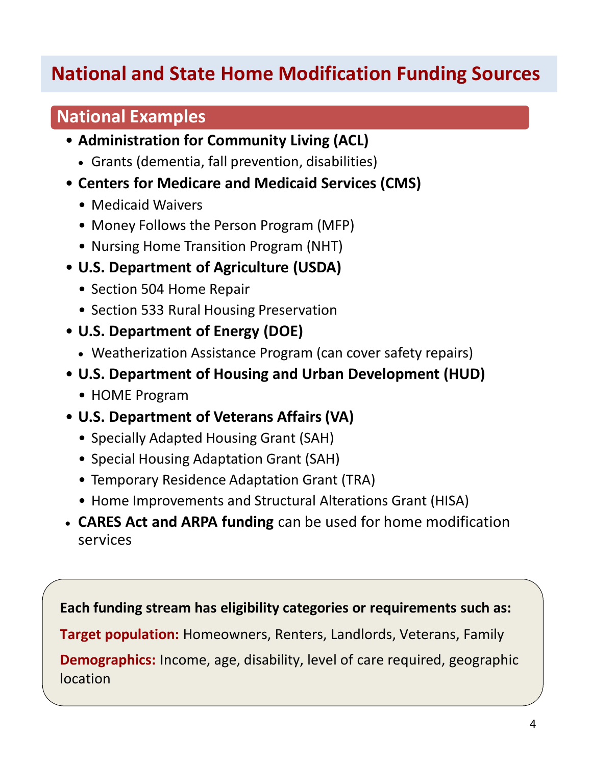# **National and State Home Modification Funding Sources**

### **National Examples**

- **Administration for Community Living (ACL)**
	- Grants (dementia, fall prevention, disabilities)
- **Centers for Medicare and Medicaid Services (CMS)**
	- Medicaid Waivers
	- Money Follows the Person Program (MFP)
	- Nursing Home Transition Program (NHT)
- **U.S. Department of Agriculture (USDA)**
	- Section 504 Home Repair
	- Section 533 Rural Housing Preservation
- **U.S. Department of Energy (DOE)**
	- Weatherization Assistance Program (can cover safety repairs)
- **U.S. Department of Housing and Urban Development (HUD)**
	- HOME Program
- **U.S. Department of Veterans Affairs (VA)**
	- Specially Adapted Housing Grant (SAH)
	- Special Housing Adaptation Grant (SAH)
	- Temporary Residence Adaptation Grant (TRA)
	- Home Improvements and Structural Alterations Grant (HISA)
- **CARES Act and ARPA funding** can be used for home modification services

**Each funding stream has eligibility categories or requirements such as:**

**Target population:** Homeowners, Renters, Landlords, Veterans, Family

**Demographics:** Income, age, disability, level of care required, geographic location